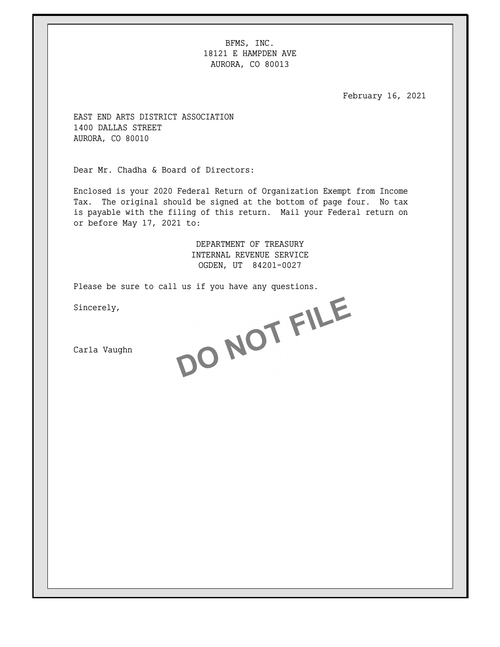BFMS, INC. 18121 E HAMPDEN AVE AURORA, CO 80013

February 16, 2021

EAST END ARTS DISTRICT ASSOCIATION 1400 DALLAS STREET AURORA, CO 80010

Dear Mr. Chadha & Board of Directors:

Enclosed is your 2020 Federal Return of Organization Exempt from Income Tax. The original should be signed at the bottom of page four. No tax is payable with the filing of this return. Mail your Federal return on or before May 17, 2021 to:

> DEPARTMENT OF TREASURY INTERNAL REVENUE SERVICE OGDEN, UT 84201-0027

Sincerely,

Please be sure to call us if you have any questions.<br>Sincerely,<br>Carla Vaughn

Carla Vaughn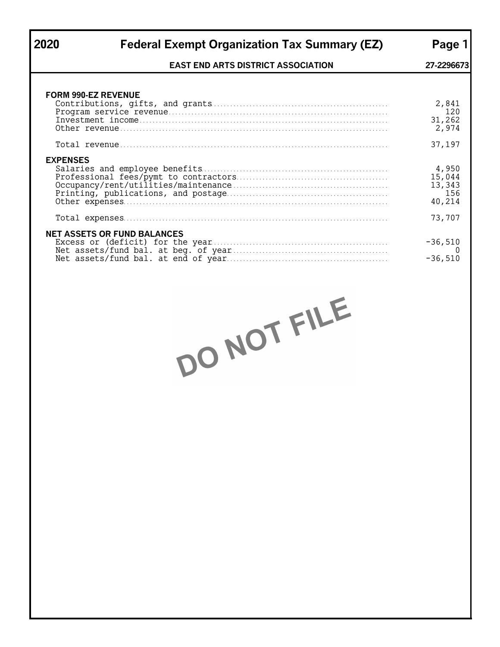# **2020 Federal Exempt Organization Tax Summary (EZ) Page 1**

## **EAST END ARTS DISTRICT ASSOCIATION 27-2296673**

| <b>FORM 990-EZ REVENUE</b>         | 2,841<br>120<br>31,262<br>2,974            |
|------------------------------------|--------------------------------------------|
|                                    | 37,197                                     |
| <b>EXPENSES</b>                    | 4,950<br>15,044<br>13,343<br>156<br>40,214 |
|                                    | 73,707                                     |
| <b>NET ASSETS OR FUND BALANCES</b> | $-36,510$<br>$-36,510$                     |

DO NOT FILE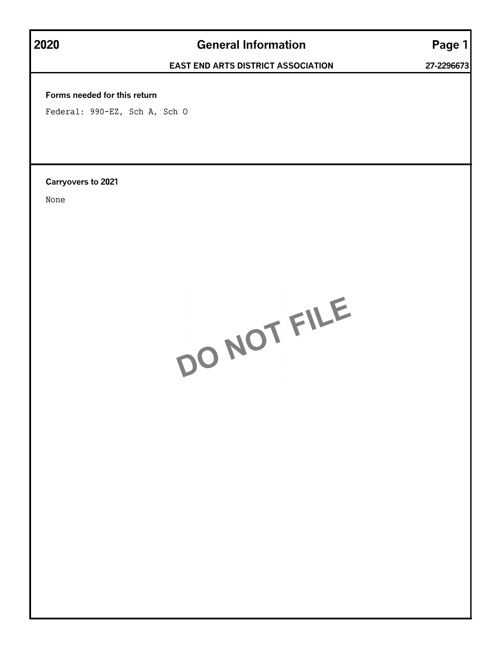# **2020 General Information Page 1**

## **EAST END ARTS DISTRICT ASSOCIATION 27-2296673**

## **Forms needed for this return**

Federal: 990-EZ, Sch A, Sch O

**Carryovers to 2021**

None

DO NOT FILE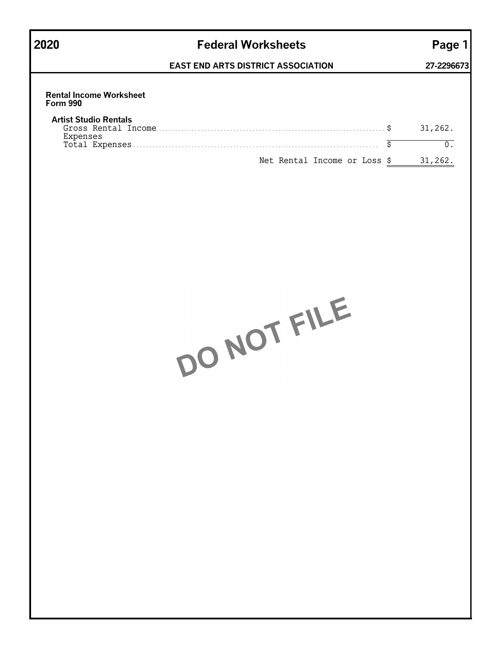| v.<br>۰,<br>×<br>٠ |
|--------------------|
|--------------------|

# **2020 Federal Worksheets Page 1**

# **EAST END ARTS DISTRICT ASSOCIATION 27-2296673**

| <b>Rental Income Worksheet</b><br><b>Form 990</b> |         |
|---------------------------------------------------|---------|
| <b>Artist Studio Rentals</b><br>Expenses          | 31,262. |
|                                                   |         |
| Net Rental Income or Loss \$                      | 31,262  |

DO NOT FILE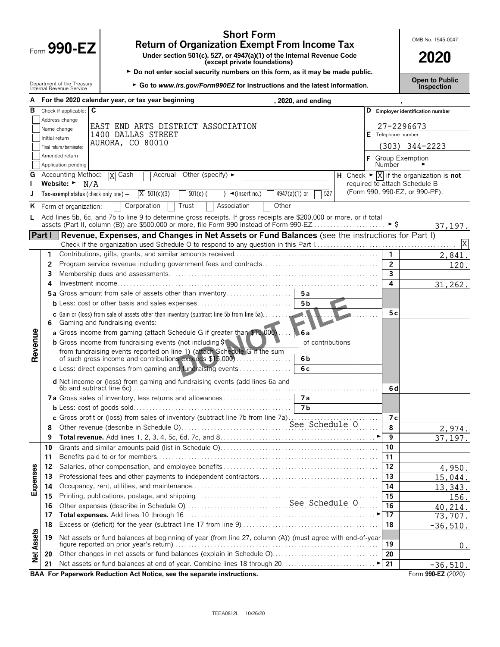| <b>Short Form</b><br><b>Return of Organization Exempt From Income Tax</b><br>Form $990$ -EZ<br>Under section 501(c), 527, or 4947(a)(1) of the Internal Revenue Code<br>(except private foundations)<br>► Do not enter social security numbers on this form, as it may be made public.<br>Department of the Treasury<br>► Go to www.irs.gov/Form990EZ for instructions and the latest information.<br>Internal Revenue Service |                                                                                                                                                                                                                                          |                                                        |                                                                      | OMB No. 1545-0047<br>2020<br><b>Open to Public</b><br>Inspection                         |
|--------------------------------------------------------------------------------------------------------------------------------------------------------------------------------------------------------------------------------------------------------------------------------------------------------------------------------------------------------------------------------------------------------------------------------|------------------------------------------------------------------------------------------------------------------------------------------------------------------------------------------------------------------------------------------|--------------------------------------------------------|----------------------------------------------------------------------|------------------------------------------------------------------------------------------|
|                                                                                                                                                                                                                                                                                                                                                                                                                                | For the 2020 calendar year, or tax year beginning                                                                                                                                                                                        | , 2020, and ending                                     |                                                                      |                                                                                          |
| C<br>в<br>Check if applicable:<br>Address change<br>Name change<br>Initial return<br>Final return/terminated<br>Amended return<br>Application pending                                                                                                                                                                                                                                                                          | END ARTS DISTRICT ASSOCIATION<br>EAST<br>1400 DALLAS STREET<br>AURORA, CO 80010                                                                                                                                                          |                                                        | Telephone number<br>E<br><b>Number</b>                               | <b>Employer identification number</b><br>27-2296673<br>(303) 344-2223<br>Group Exemption |
| Accounting Method:<br>G<br>Website: $\blacktriangleright$<br>N/A<br>Tax-exempt status (check only one) —                                                                                                                                                                                                                                                                                                                       | $\overline{X}$ Cash<br>Other (specify) $\blacktriangleright$<br>Accrual<br>$X = 501(c)(3)$<br>$501(c)$ (                                                                                                                                 | 527<br>$4947(a)(1)$ or<br>$\triangleleft$ (insert no.) | H<br>required to attach Schedule B<br>(Form 990, 990-EZ, or 990-PF). | Check $\blacktriangleright \boxed{X}$ if the organization is <b>not</b>                  |
| ĸ<br>Form of organization:                                                                                                                                                                                                                                                                                                                                                                                                     | Corporation<br>Trust<br>Add lines 5b, 6c, and 7b to line 9 to determine gross receipts. If gross receipts are \$200,000 or more, or if total<br>assets (Part II, column (B)) are \$500,000 or more, file Form 990 instead of Form 990-EZ | Other<br>Association                                   | ►Ŝ                                                                   | 37.19                                                                                    |

**Dr more, or if total** assets (Part II, column (B)) are \$500,000 or more, file Form 990 instead of Form 990-EZ …………………… ► \$ 37,197. **Part I Revenue, Expenses, and Changes in Net Assets or Fund Balances** (see the instructions for Part I) Check if the organization used Schedule O to respond to any question in this Part I. . . . . . . . . . . . . . . . . . . . . . . . . . . . . . . . . . . . . . . . . . . . X **1** Contributions, gifts, grants, and similar amounts received. . . . . . . . . . . . . . . . . . . . . . . . . . . . . . . . . . . . . . . . . . . . . **1** 2,841. **2** Program service revenue including government fees and contracts. . . . . . . . . . . . . . . . . . . . . . . . . . . . . . . . . . . . **2** 120. **3** Membership dues and assessments. . . . . . . . . . . . . . . . . . . . . . . . . . . . . . . . . . . . . . . . . . . . . . . . . . . . . . . . . . . . . . . . . **3 4** Investment income. . . . . . . . . . . . . . . . . . . . . . . . . . . . . . . . . . . . . . . . . . . . . . . . . . . . . . . . . . . . . . . . . . . . . . . . . . . . . . . . . **4** 31,262. **5 a** Gross amount from sale of assets other than inventory . . . . . . . . . . . . . . . . . . . . **5 a b** Less: cost or other basis and sales expenses . . . . . . . . . . . . . . . . . . . . . . . . . . . . . **5 b c** Gain or (loss) from sale of assets other than inventory (subtract line 5b from line 5a). . . . . . . . . . . . . . . . . . . . . . . . . . . . . . . . . . . . **5 c 6** Gaming and fundraising events: Revenue **a** Gross income from gaming (attach Schedule G if greater than \$15,000) . . . . **6 a b** Gross income from fundraising events (not including  $\frac{1}{2}$  of contributions from fundraising events reported on line 1) (attach Schedule G if the sum of such gross income and contributions exceeds \$15,000) . . . . . . . . . . . . . . . . . **6 b c** Less: direct expenses from gaming and fundraising events. . . . . . . . . . . . . . . . . **6 c d** Net income or (loss) from gaming and fundraising events (add lines 6a and 6b and subtract line 6c). . . . . . . . . . . . . . . . . . . . . . . . . . . . . . . . . . . . . . . . . . . . . . . . . . . . . . . . . . . . . . . . . . . . . . . . . . . . . **6 d 7 a** Gross sales of inventory, less returns and allowances . . . . . . . . . . . . . . . . . . . . . **7 a b** Less: cost of goods sold. . . . . . . . . . . . . . . . . . . . . . . . . . . . . . . . . . . . . . . . . . . . . . . . . **7 b c** Gross profit or (loss) from sales of inventory (subtract line 7b from line 7a). . . . . . . . . . . . . . . . . . . . . . . . . . . . **7 c** See Schedule O**8** Other revenue (describe in Schedule O). . . . . . . . . . . . . . . . . . . . . . . . . . . . . . . . . . . . . . . . . . . . . . . . . . . . . . . . . . . . . **8** 2,974. **9 Total revenue.** Add lines 1, 2, 3, 4, 5c, 6d, 7c, and 8. . . . . . . . . . . . . . . . . . . . . . . . . . . . . . . . . . . . . . . . . . . . . . . . G **9** 37,197. **10** Grants and similar amounts paid (list in Schedule O). . . . . . . . . . . . . . . . . . . . . . . . . . . . . . . . . . . . . . . . . . . . . . . . . **10 11** Benefits paid to or for members. . . . . . . . . . . . . . . . . . . . . . . . . . . . . . . . . . . . . . . . . . . . . . . . . . . . . . . . . . . . . . . . . . . . . **11 12** Salaries, other compensation, and employee benefits . . . . . . . . . . . . . . . . . . . . . . . . . . . . . . . . . . . . . . . . . . . . . . . . **12** 4,950. Expenses **13** Professional fees and other payments to independent contractors. . . . . . . . . . . . . . . . . . . . . . . . . . . . . . . . . . . . . **13** 15,044. **14** Occupancy, rent, utilities, and maintenance. . . . . . . . . . . . . . . . . . . . . . . . . . . . . . . . . . . . . . . . . . . . . . . . . . . . . . . . . . **14** 13,343. **15** Printing, publications, postage, and shipping. . . . . . . . . . . . . . . . . . . . . . . . . . . . . . . . . . . . . . . . . . . . . . . . . . . . . . . . . **15** 156. **16** Other expenses (describe in Schedule O). . . . . . . . . . . . . . . . . . . . . . . . . . . . . . . . . . . . . . . . . . . . . . . . . . . . . . . . . . . . **16** See Schedule O 40,214. **17 Total expenses.** Add lines 10 through 16 . . . . . . . . . . . . . . . . . . . . . . . . . . . . . . . . . . . . . . . . . . . . . . . . . . . . . . . . . . . G **17** 73,707. **18** Excess or (deficit) for the year (subtract line 17 from line 9). . . . . . . . . . . . . . . . . . . . . . . . . . . . . . . . . . . . . . . . . . . **18** -36,510. **Net Assets 19** Net assets or fund balances at beginning of year (from line 27, column (A)) (must agree with end-of-year figure reported on prior year's return). . . . . . . . . . . . . . . . . . . . . . . . . . . . . . . . . . . . . . . . . . . . . . . . . . . . . . . . . . . . . . . . **19**  $\Omega$ . **20** Other changes in net assets or fund balances (explain in Schedule O). . . . . . . . . . . . . . . . . . . . . . . . . . . . . . . . . **20 21** Net assets or fund balances at end of year. Combine lines 18 through 20. . . . . . . . . . . . . . . . . . . . . . . . . . . . . G **21** -36,510.

**BAA For Paperwork Reduction Act Notice, see the separate instructions. The set of the separate instructions.** Form 990-EZ (2020)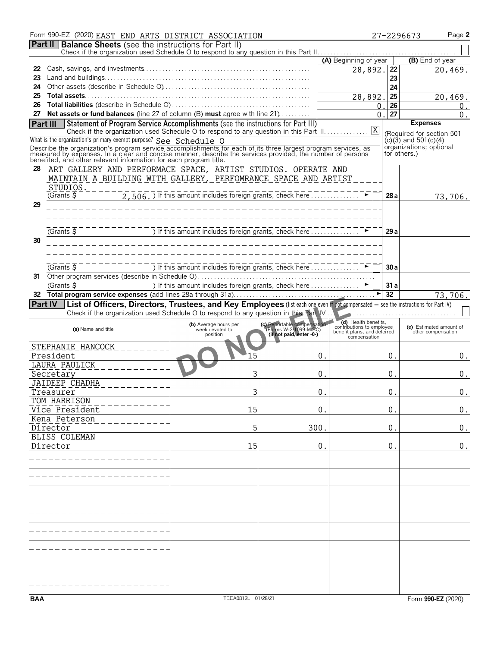|            | Form 990-EZ (2020) EAST END ARTS DISTRICT ASSOCIATION                                                                                                                                                                                                                                                                          |                                                                                                                                                                       |                                                                                  |                                                   |                 | Page 2<br>27-2296673      |
|------------|--------------------------------------------------------------------------------------------------------------------------------------------------------------------------------------------------------------------------------------------------------------------------------------------------------------------------------|-----------------------------------------------------------------------------------------------------------------------------------------------------------------------|----------------------------------------------------------------------------------|---------------------------------------------------|-----------------|---------------------------|
|            | <b>Part II   Balance Sheets</b> (see the instructions for Part II)                                                                                                                                                                                                                                                             |                                                                                                                                                                       |                                                                                  |                                                   |                 |                           |
|            |                                                                                                                                                                                                                                                                                                                                |                                                                                                                                                                       |                                                                                  | (A) Beginning of year                             |                 | (B) End of year           |
| 22         |                                                                                                                                                                                                                                                                                                                                |                                                                                                                                                                       |                                                                                  | 28,892.                                           | 22              |                           |
| 23         |                                                                                                                                                                                                                                                                                                                                |                                                                                                                                                                       |                                                                                  |                                                   | 23              | 20,469.                   |
| 24         |                                                                                                                                                                                                                                                                                                                                |                                                                                                                                                                       |                                                                                  |                                                   | 24              |                           |
| 25         |                                                                                                                                                                                                                                                                                                                                |                                                                                                                                                                       |                                                                                  | 28,892.                                           | 25              | 20,469.                   |
| 26         |                                                                                                                                                                                                                                                                                                                                |                                                                                                                                                                       |                                                                                  | 0.                                                | 26              | 0.                        |
|            | 27 Net assets or fund balances (line 27 of column (B) must agree with line 21)                                                                                                                                                                                                                                                 |                                                                                                                                                                       |                                                                                  | 0.                                                | 27              | $0$ .                     |
|            | <b>Part III</b> Statement of Program Service Accomplishments (see the instructions for Part III)                                                                                                                                                                                                                               |                                                                                                                                                                       |                                                                                  |                                                   |                 | <b>Expenses</b>           |
|            |                                                                                                                                                                                                                                                                                                                                |                                                                                                                                                                       |                                                                                  |                                                   |                 | (Required for section 501 |
|            | What is the organization's primary exempt purpose? See Schedule O                                                                                                                                                                                                                                                              |                                                                                                                                                                       |                                                                                  |                                                   |                 | $(c)(3)$ and 501 $(c)(4)$ |
|            |                                                                                                                                                                                                                                                                                                                                |                                                                                                                                                                       |                                                                                  |                                                   |                 | organizations; optional   |
|            | Describe the organization's program service accomplishments for each of its three largest program services, as<br>measured by expenses. In a clear and concise manner, describe the services provided, the number of persons<br>bene                                                                                           |                                                                                                                                                                       |                                                                                  |                                                   |                 | for others.)              |
| 28         | ART GALLERY AND PERFORMACE SPACE, ARTIST STUDIOS. OPERATE AND                                                                                                                                                                                                                                                                  |                                                                                                                                                                       |                                                                                  |                                                   |                 |                           |
|            | MAINTAIN A BUILDING WITH GALLERY, PERFOMRANCE SPACE AND ARTIST                                                                                                                                                                                                                                                                 |                                                                                                                                                                       |                                                                                  |                                                   |                 |                           |
|            |                                                                                                                                                                                                                                                                                                                                |                                                                                                                                                                       |                                                                                  |                                                   |                 |                           |
|            | STUDIOS.<br>(Grants $\frac{1}{2}$                                                                                                                                                                                                                                                                                              | $\overline{2,506.}$ ) If this amount includes foreign grants, check here $\overline{2,506.}$ ) If this amount includes foreign grants, check here $\overline{2,506.}$ |                                                                                  |                                                   | 28 a            |                           |
| 29         |                                                                                                                                                                                                                                                                                                                                |                                                                                                                                                                       |                                                                                  |                                                   |                 | 73,706.                   |
|            |                                                                                                                                                                                                                                                                                                                                |                                                                                                                                                                       |                                                                                  |                                                   |                 |                           |
|            |                                                                                                                                                                                                                                                                                                                                |                                                                                                                                                                       |                                                                                  |                                                   |                 |                           |
|            | $\frac{1}{\text{Gramts}}$ $\frac{1}{\text{S}}$ – – – – –                                                                                                                                                                                                                                                                       | ) If this amount includes foreign grants, check here                                                                                                                  |                                                                                  |                                                   | 29a             |                           |
| 30         |                                                                                                                                                                                                                                                                                                                                |                                                                                                                                                                       |                                                                                  |                                                   |                 |                           |
|            |                                                                                                                                                                                                                                                                                                                                |                                                                                                                                                                       |                                                                                  |                                                   |                 |                           |
|            |                                                                                                                                                                                                                                                                                                                                |                                                                                                                                                                       |                                                                                  |                                                   |                 |                           |
|            | $\overline{G}$ Grants $\overline{S}$                                                                                                                                                                                                                                                                                           | ) If this amount includes foreign grants, check here $\ldots$                                                                                                         |                                                                                  |                                                   |                 |                           |
|            |                                                                                                                                                                                                                                                                                                                                |                                                                                                                                                                       |                                                                                  |                                                   | 30a             |                           |
| 31         |                                                                                                                                                                                                                                                                                                                                |                                                                                                                                                                       |                                                                                  |                                                   |                 |                           |
|            | (Grants \$                                                                                                                                                                                                                                                                                                                     | ) If this amount includes foreign grants, check here ▶                                                                                                                |                                                                                  |                                                   | 31a             |                           |
| 32.        |                                                                                                                                                                                                                                                                                                                                |                                                                                                                                                                       |                                                                                  |                                                   | $\overline{32}$ | 73,706.                   |
|            | Part IV   List of Officers, Directors, Trustees, and Key Employees (list each one even if not compensated - see the instructions for Part IV)<br>Check if the organization used Schedule O to respond to any question in this Part V. New Check if the organization used Schedule O to respond to any question in this Part V. |                                                                                                                                                                       |                                                                                  |                                                   |                 |                           |
|            |                                                                                                                                                                                                                                                                                                                                |                                                                                                                                                                       |                                                                                  |                                                   |                 |                           |
|            | (a) Name and title                                                                                                                                                                                                                                                                                                             | (b) Average hours per<br>week devoted to                                                                                                                              | (c) Reportable compensation<br>(Forms W-2/1099-MISC)<br>(if not paid, enter -0-) | (d) Health benefits,<br>contributions to employee |                 | (e) Estimated amount of   |
|            |                                                                                                                                                                                                                                                                                                                                | position                                                                                                                                                              |                                                                                  | benefit plans, and deferred<br>compensation       |                 | other compensation        |
|            | STEPHANIE HANCOCK                                                                                                                                                                                                                                                                                                              |                                                                                                                                                                       |                                                                                  |                                                   |                 |                           |
|            | President                                                                                                                                                                                                                                                                                                                      | 5                                                                                                                                                                     |                                                                                  | 0.                                                | 0.              | 0.                        |
|            | <b>LAURA PAULICK</b>                                                                                                                                                                                                                                                                                                           |                                                                                                                                                                       |                                                                                  |                                                   |                 |                           |
|            | Secretary                                                                                                                                                                                                                                                                                                                      |                                                                                                                                                                       |                                                                                  | 0.                                                | 0.              | 0.                        |
|            | <b>JAIDEEP CHADHA</b>                                                                                                                                                                                                                                                                                                          |                                                                                                                                                                       |                                                                                  |                                                   |                 |                           |
|            | Treasurer                                                                                                                                                                                                                                                                                                                      | 3                                                                                                                                                                     |                                                                                  | $0$ .                                             | 0.              | 0.                        |
|            | TOM HARRISON                                                                                                                                                                                                                                                                                                                   |                                                                                                                                                                       |                                                                                  |                                                   |                 |                           |
|            | Vice President                                                                                                                                                                                                                                                                                                                 | 15                                                                                                                                                                    |                                                                                  | 0.                                                | 0.              | 0.                        |
|            | Kena Peterson                                                                                                                                                                                                                                                                                                                  |                                                                                                                                                                       |                                                                                  |                                                   |                 |                           |
|            | Director                                                                                                                                                                                                                                                                                                                       | 5                                                                                                                                                                     | 300.                                                                             |                                                   | 0.              | 0.                        |
|            | <b>BLISS COLEMAN</b>                                                                                                                                                                                                                                                                                                           |                                                                                                                                                                       |                                                                                  |                                                   |                 |                           |
|            | Director                                                                                                                                                                                                                                                                                                                       | 15                                                                                                                                                                    |                                                                                  | 0.                                                | 0.              | 0.                        |
|            |                                                                                                                                                                                                                                                                                                                                |                                                                                                                                                                       |                                                                                  |                                                   |                 |                           |
|            |                                                                                                                                                                                                                                                                                                                                |                                                                                                                                                                       |                                                                                  |                                                   |                 |                           |
|            |                                                                                                                                                                                                                                                                                                                                |                                                                                                                                                                       |                                                                                  |                                                   |                 |                           |
|            |                                                                                                                                                                                                                                                                                                                                |                                                                                                                                                                       |                                                                                  |                                                   |                 |                           |
|            |                                                                                                                                                                                                                                                                                                                                |                                                                                                                                                                       |                                                                                  |                                                   |                 |                           |
|            |                                                                                                                                                                                                                                                                                                                                |                                                                                                                                                                       |                                                                                  |                                                   |                 |                           |
|            |                                                                                                                                                                                                                                                                                                                                |                                                                                                                                                                       |                                                                                  |                                                   |                 |                           |
|            |                                                                                                                                                                                                                                                                                                                                |                                                                                                                                                                       |                                                                                  |                                                   |                 |                           |
|            |                                                                                                                                                                                                                                                                                                                                |                                                                                                                                                                       |                                                                                  |                                                   |                 |                           |
|            |                                                                                                                                                                                                                                                                                                                                |                                                                                                                                                                       |                                                                                  |                                                   |                 |                           |
|            |                                                                                                                                                                                                                                                                                                                                |                                                                                                                                                                       |                                                                                  |                                                   |                 |                           |
|            |                                                                                                                                                                                                                                                                                                                                |                                                                                                                                                                       |                                                                                  |                                                   |                 |                           |
|            |                                                                                                                                                                                                                                                                                                                                |                                                                                                                                                                       |                                                                                  |                                                   |                 |                           |
|            |                                                                                                                                                                                                                                                                                                                                |                                                                                                                                                                       |                                                                                  |                                                   |                 |                           |
|            |                                                                                                                                                                                                                                                                                                                                |                                                                                                                                                                       |                                                                                  |                                                   |                 |                           |
|            |                                                                                                                                                                                                                                                                                                                                |                                                                                                                                                                       |                                                                                  |                                                   |                 |                           |
| <b>BAA</b> |                                                                                                                                                                                                                                                                                                                                | TEEA0812L 01/28/21                                                                                                                                                    |                                                                                  |                                                   |                 | Form 990-EZ (2020)        |
|            |                                                                                                                                                                                                                                                                                                                                |                                                                                                                                                                       |                                                                                  |                                                   |                 |                           |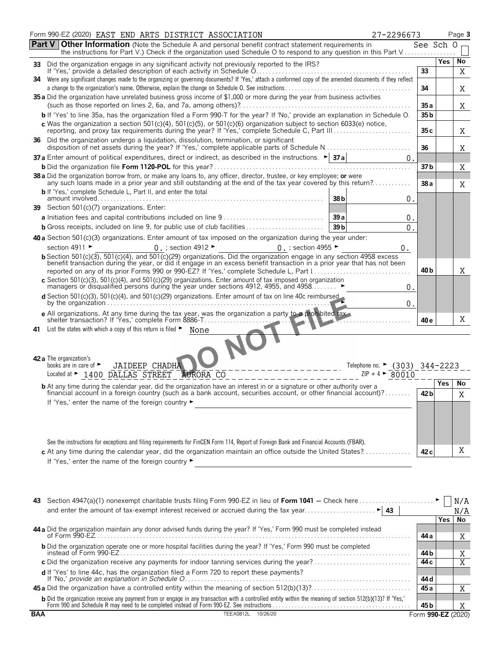|    | Form 990-EZ (2020) EAST END ARTS DISTRICT ASSOCIATION<br>27-2296673                                                                                                                                                                                                                                           |                 |            | Page 3 |
|----|---------------------------------------------------------------------------------------------------------------------------------------------------------------------------------------------------------------------------------------------------------------------------------------------------------------|-----------------|------------|--------|
|    | Part V<br><b>Other Information</b> (Note the Schedule A and personal benefit contract statement requirements in<br>the instructions for Part V.) Check if the organization used Schedule O to respond to any question in this Part V                                                                          | See Sch 0       |            |        |
| 33 | Did the organization engage in any significant activity not previously reported to the IRS?                                                                                                                                                                                                                   |                 | <b>Yes</b> | No     |
|    | If 'Yes,' provide a detailed description of each activity in Schedule O.<br>34 Were any significant changes made to the organizing or governing documents? If 'Yes,' attach a conformed copy of the amended documents if they reflect                                                                         | 33              |            | X      |
|    | 35 a Did the organization have unrelated business gross income of \$1,000 or more during the year from business activities                                                                                                                                                                                    | 34              |            | Χ      |
|    |                                                                                                                                                                                                                                                                                                               | 35 a            |            | Χ      |
|    | b If 'Yes' to line 35a, has the organization filed a Form 990-T for the year? If 'No,' provide an explanation in Schedule O.                                                                                                                                                                                  | 35 <sub>b</sub> |            |        |
|    | c Was the organization a section $501(c)(4)$ , $501(c)(5)$ , or $501(c)(6)$ organization subject to section $6033(e)$ notice,<br>reporting, and proxy tax requirements during the year? If 'Yes,' complete Schedule C, Part III                                                                               | 35c             |            | Χ      |
|    | 36 Did the organization undergo a liquidation, dissolution, termination, or significant<br>disposition of net assets during the year? If 'Yes,' complete applicable parts of Schedule N                                                                                                                       | 36              |            | Χ      |
|    | <b>37 a</b> Enter amount of political expenditures, direct or indirect, as described in the instructions. $\blacktriangleright$ <b>37 a</b><br>$\overline{0}$ .                                                                                                                                               |                 |            |        |
|    |                                                                                                                                                                                                                                                                                                               | 37 b            |            | Χ      |
|    | 38 a Did the organization borrow from, or make any loans to, any officer, director, trustee, or key employee; or were<br>any such loans made in a prior year and still outstanding at the end of the tax year covered by this return?<br><b>b</b> If 'Yes,' complete Schedule L, Part II, and enter the total | 38a             |            | Χ      |
|    | 38 b<br>0.                                                                                                                                                                                                                                                                                                    |                 |            |        |
| 39 | Section 501(c)(7) organizations. Enter:                                                                                                                                                                                                                                                                       |                 |            |        |
|    | 39a<br>$\boldsymbol{0}$ .<br><b>b</b> Gross receipts, included on line 9, for public use of club facilities<br>39 <sub>b</sub>                                                                                                                                                                                |                 |            |        |
|    | 0.                                                                                                                                                                                                                                                                                                            |                 |            |        |
|    | 40 a Section 501(c)(3) organizations. Enter amount of tax imposed on the organization during the year under:<br>section 4911 ►                                                                                                                                                                                |                 |            |        |
|    | 0. ; section 4912 $\blacktriangleright$<br>$0$ ; section 4955 ►<br>0.<br>b Section 501(c)(3), 501(c)(4), and 501(c)(29) organizations. Did the organization engage in any section 4958 excess                                                                                                                 |                 |            |        |
|    | benefit transaction during the year, or did it engage in an excess benefit transaction in a prior year that has not been<br>reported on any of its prior Forms 990 or 990-EZ? If 'Yes,' complete Schedule L, Part 1                                                                                           | 40 <sub>b</sub> |            | X      |
|    | c Section 501(c)(3), 501(c)(4), and 501(c)(29) organizations. Enter amount of tax imposed on organization<br>managers or disqualitied persons during the year under sections 4912, 4955, and 4958<br>0.                                                                                                       |                 |            |        |
|    | d Section 501(c)(3), 501(c)(4), and 501(c)(29) organizations. Enter amount of tax on line 40c reimbursed<br>0.                                                                                                                                                                                                |                 |            |        |
|    | <b>e</b> All organizations. At any time during the tax year, was the organization a party to a prohibited tax<br>shelter transaction? If 'Yes,' complete Form 8886-T                                                                                                                                          | 40 e            |            | X      |
|    | 41 List the states with which a copy of this return is filed • None                                                                                                                                                                                                                                           |                 |            |        |
|    | 42 a The organization's<br><b>JAIDEEP CHADHA</b><br>books are in care of $\blacktriangleright$<br>Telephone no. ► (303) 344-2223<br>Located at > 1400 DALLAS STREET<br>$ZIP + 4$<br>80010<br>AURORA CO                                                                                                        |                 |            |        |
|    | <b>b</b> At any time during the calendar year, did the organization have an interest in or a signature or other authority over a                                                                                                                                                                              |                 | Yes        | No     |
|    | financial account in a foreign country (such as a bank account, securities account, or other financial account)?                                                                                                                                                                                              | 42 b            |            | X.     |
|    | If 'Yes,' enter the name of the foreign country ►<br><u> 1989 - Johann Stoff, deutscher Stoffen und der Stoffen und der Stoffen und der Stoffen und der Stoffen und der</u>                                                                                                                                   |                 |            |        |
|    | See the instructions for exceptions and filing requirements for FinCEN Form 114, Report of Foreign Bank and Financial Accounts (FBAR).                                                                                                                                                                        |                 |            |        |
|    | c At any time during the calendar year, did the organization maintain an office outside the United States?                                                                                                                                                                                                    | 42 <sub>c</sub> |            | Χ      |
|    | If 'Yes,' enter the name of the foreign country ►<br><u> 1989 - Johann John Stein, markin film yn y brenin y brenin y brenin y brenin y brenin y brenin y brenin y br</u>                                                                                                                                     |                 |            |        |
|    |                                                                                                                                                                                                                                                                                                               |                 |            | N/A    |
|    |                                                                                                                                                                                                                                                                                                               |                 |            |        |

|                                                                                                                                                                                                                                        |                    |       | N/A |
|----------------------------------------------------------------------------------------------------------------------------------------------------------------------------------------------------------------------------------------|--------------------|-------|-----|
|                                                                                                                                                                                                                                        |                    | Yes l | No  |
| 44 a Did the organization maintain any donor advised funds during the year? If 'Yes,' Form 990 must be completed instead<br>of Form 990-EZ.                                                                                            | 44 a               |       |     |
| <b>b</b> Did the organization operate one or more hospital facilities during the year? If 'Yes,' Form 990 must be completed                                                                                                            | 44 b               |       |     |
| c Did the organization receive any payments for indoor tanning services during the year?                                                                                                                                               | 44 c               |       | Χ   |
| d If 'Yes' to line 44c, has the organization filed a Form 720 to report these payments?<br>$\frac{1}{2}$ if 'No,' provide an explanation in Schedule O.                                                                                | 44 d               |       |     |
|                                                                                                                                                                                                                                        | 45 a               |       |     |
| <b>b</b> Did the organization receive any payment from or engage in any transaction with a controlled entity within the meaning of section 512(b)(13)? If 'Yes,'<br>Form 990 and Schedule R may need to be completed instead of Form 9 | 45 b               |       |     |
| BAA<br>TEEA0812L 10/26/20                                                                                                                                                                                                              | Form 990-F7 (2020) |       |     |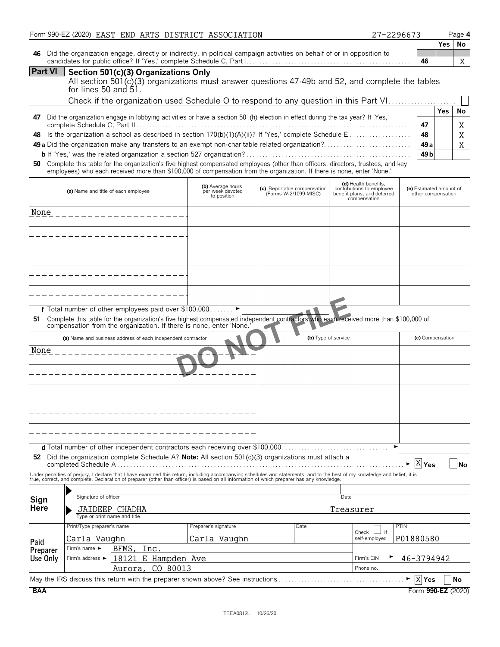|                | Form 990-EZ (2020) EAST END ARTS DISTRICT ASSOCIATION                                                                                                                                                                                                                                                                    |                                                      |                                                      |                                                                                                  | 27-2296673                                    | Page 4                                  |
|----------------|--------------------------------------------------------------------------------------------------------------------------------------------------------------------------------------------------------------------------------------------------------------------------------------------------------------------------|------------------------------------------------------|------------------------------------------------------|--------------------------------------------------------------------------------------------------|-----------------------------------------------|-----------------------------------------|
| 46             | Did the organization engage, directly or indirectly, in political campaign activities on behalf of or in opposition to                                                                                                                                                                                                   |                                                      |                                                      |                                                                                                  | 46                                            | <b>No</b><br>Yes<br>X                   |
| <b>Part VI</b> | Section 501(c)(3) Organizations Only<br>All section 501(c)(3) organizations must answer questions 47-49b and 52, and complete the tables<br>for lines 50 and $51.$                                                                                                                                                       |                                                      |                                                      |                                                                                                  |                                               |                                         |
|                | Check if the organization used Schedule O to respond to any question in this Part VI                                                                                                                                                                                                                                     |                                                      |                                                      |                                                                                                  |                                               |                                         |
| 47             | Did the organization engage in lobbying activities or have a section 501(h) election in effect during the tax year? If 'Yes,'                                                                                                                                                                                            |                                                      |                                                      |                                                                                                  | 47                                            | <b>Yes</b><br>No<br>Χ                   |
| 48             |                                                                                                                                                                                                                                                                                                                          |                                                      |                                                      |                                                                                                  | 48<br>49 <sub>a</sub><br>49 <sub>b</sub>      | $\overline{\text{X}}$<br>$\overline{X}$ |
| 50             | Complete this table for the organization's five highest compensated employees (other than officers, directors, trustees, and key<br>employees) who each received more than \$100,000 of compensation from the organization. If there is none, enter 'None.'                                                              |                                                      |                                                      |                                                                                                  |                                               |                                         |
|                | (a) Name and title of each employee                                                                                                                                                                                                                                                                                      | (b) Average hours<br>per week devoted<br>to position | (c) Reportable compensation<br>(Forms W-2/1099-MISC) | (d) Health benefits.<br>contributions to employee<br>benefit plans, and deferred<br>compensation | (e) Estimated amount of<br>other compensation |                                         |
| None           |                                                                                                                                                                                                                                                                                                                          |                                                      |                                                      |                                                                                                  |                                               |                                         |
|                |                                                                                                                                                                                                                                                                                                                          |                                                      |                                                      |                                                                                                  |                                               |                                         |
|                |                                                                                                                                                                                                                                                                                                                          |                                                      |                                                      |                                                                                                  |                                               |                                         |
|                |                                                                                                                                                                                                                                                                                                                          |                                                      |                                                      |                                                                                                  |                                               |                                         |
|                |                                                                                                                                                                                                                                                                                                                          |                                                      |                                                      |                                                                                                  |                                               |                                         |
| 51.            | f Total number of other employees paid over \$100,000<br>Complete this table for the organization's five highest compensated independent contractors who each received more than \$100,000 of<br>compensation from the organization. If there is none, enter 'None.                                                      |                                                      |                                                      |                                                                                                  |                                               |                                         |
|                | (a) Name and business address of each independent contractor                                                                                                                                                                                                                                                             |                                                      |                                                      | (b) Type of service                                                                              | (c) Compensation                              |                                         |
| None           |                                                                                                                                                                                                                                                                                                                          |                                                      |                                                      |                                                                                                  |                                               |                                         |
|                |                                                                                                                                                                                                                                                                                                                          |                                                      |                                                      |                                                                                                  |                                               |                                         |
|                |                                                                                                                                                                                                                                                                                                                          |                                                      |                                                      |                                                                                                  |                                               |                                         |
|                |                                                                                                                                                                                                                                                                                                                          |                                                      |                                                      |                                                                                                  |                                               |                                         |
|                |                                                                                                                                                                                                                                                                                                                          |                                                      |                                                      |                                                                                                  |                                               |                                         |
|                | 52 Did the organization complete Schedule A? Note: All section $501(c)(3)$ organizations must attach a                                                                                                                                                                                                                   |                                                      |                                                      |                                                                                                  | $\overline{X}$ Yes                            | <b>No</b>                               |
|                | Under penalties of perjury, I declare that I have examined this return, including accompanying schedules and statements, and to the best of my knowledge and belief, it is<br>true, correct, and complete. Declaration of preparer (other than officer) is based on all information of which preparer has any knowledge. |                                                      |                                                      |                                                                                                  |                                               |                                         |
| Sign           | Signature of officer                                                                                                                                                                                                                                                                                                     |                                                      |                                                      | Date                                                                                             |                                               |                                         |
| <b>Here</b>    | JAIDEEP CHADHA<br>Type or print name and title                                                                                                                                                                                                                                                                           |                                                      |                                                      | Treasurer                                                                                        |                                               |                                         |
|                | Print/Type preparer's name                                                                                                                                                                                                                                                                                               | Preparer's signature                                 | Date                                                 |                                                                                                  | PTIN                                          |                                         |
| Paid           | Carla Vaughn                                                                                                                                                                                                                                                                                                             | Carla Vaughn                                         |                                                      | Check<br>self-employed                                                                           | if<br>P01880580                               |                                         |
| Preparer       | Firm's name $\blacktriangleright$<br>BFMS.<br>Inc.                                                                                                                                                                                                                                                                       |                                                      |                                                      |                                                                                                  |                                               |                                         |
| Use Only       | 18121 E Hampden Ave<br>Firm's address ▶<br>CO 80013<br>Aurora,                                                                                                                                                                                                                                                           |                                                      |                                                      | Firm's EIN<br>Phone no.                                                                          | 46-3794942                                    |                                         |
|                | May the IRS discuss this return with the preparer shown above? See instructions                                                                                                                                                                                                                                          |                                                      |                                                      |                                                                                                  | $\blacktriangleright$ $\mid$ X Yes            | No                                      |
| <b>BAA</b>     |                                                                                                                                                                                                                                                                                                                          |                                                      |                                                      |                                                                                                  |                                               | Form 990-EZ (2020)                      |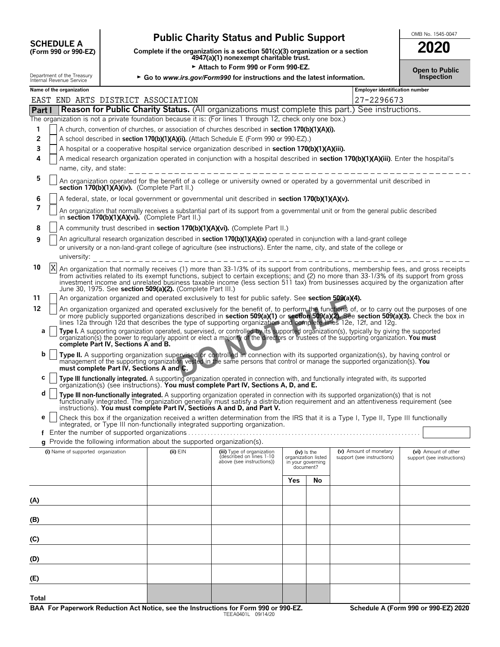| <b>SCHEDULE A</b>                     |  |
|---------------------------------------|--|
| $(F_{\alpha r}$ 990 $\alpha r$ 990.FZ |  |

# **Public Charity Status and Public Support SUPPORE A**

**COMPOSCHEDULE A**<br>(Form 990 or 990-EZ) Complete if the organization is a section 501(c)(3) organization or a section<br>4947(a)(1) nonexempt charitable trust.

► Attach to Form 990 or Form 990-EZ.<br> **Open to Publicate the latest information**<br>
Inspection Department of the Treasury **F** Go to *www.irs.gov/Form990* for instructions and the latest information.

| 2020                                                  |  |
|-------------------------------------------------------|--|
| <b>Open to Public</b><br>مناجر القامر جراحيا وبالمراج |  |

|        | internal Revenue Service           |                                          |                                                                          |                                                                                                                                                                                                                                                                             |                                    |    |                                                      |                                                                                                                                         |
|--------|------------------------------------|------------------------------------------|--------------------------------------------------------------------------|-----------------------------------------------------------------------------------------------------------------------------------------------------------------------------------------------------------------------------------------------------------------------------|------------------------------------|----|------------------------------------------------------|-----------------------------------------------------------------------------------------------------------------------------------------|
|        | Name of the organization           |                                          | EAST END ARTS DISTRICT ASSOCIATION                                       |                                                                                                                                                                                                                                                                             |                                    |    | Employer identification number<br>27-2296673         |                                                                                                                                         |
| Part I |                                    |                                          |                                                                          | <b>Reason for Public Charity Status.</b> (All organizations must complete this part.) See instructions.                                                                                                                                                                     |                                    |    |                                                      |                                                                                                                                         |
|        |                                    |                                          |                                                                          | The organization is not a private foundation because it is: (For lines 1 through 12, check only one box.)                                                                                                                                                                   |                                    |    |                                                      |                                                                                                                                         |
| 1      |                                    |                                          |                                                                          | A church, convention of churches, or association of churches described in section 170(b)(1)(A)(i).                                                                                                                                                                          |                                    |    |                                                      |                                                                                                                                         |
| 2      |                                    |                                          |                                                                          | A school described in section 170(b)(1)(A)(ii). (Attach Schedule E (Form 990 or 990-EZ).)                                                                                                                                                                                   |                                    |    |                                                      |                                                                                                                                         |
| 3      |                                    |                                          |                                                                          | A hospital or a cooperative hospital service organization described in section 170(b)(1)(A)(iii).                                                                                                                                                                           |                                    |    |                                                      |                                                                                                                                         |
| 4      |                                    |                                          |                                                                          | A medical research organization operated in conjunction with a hospital described in section 170(b)(1)(A)(iii). Enter the hospital's                                                                                                                                        |                                    |    |                                                      |                                                                                                                                         |
|        | name, city, and state:             |                                          |                                                                          |                                                                                                                                                                                                                                                                             |                                    |    |                                                      |                                                                                                                                         |
| 5      |                                    |                                          | section 170(b)(1)(A)(iv). (Complete Part II.)                            | An organization operated for the benefit of a college or university owned or operated by a governmental unit described in                                                                                                                                                   |                                    |    |                                                      |                                                                                                                                         |
| 6      |                                    |                                          |                                                                          | A federal, state, or local government or governmental unit described in section 170(b)(1)(A)(v).                                                                                                                                                                            |                                    |    |                                                      |                                                                                                                                         |
| 7      |                                    |                                          | in section 170(b)(1)(A)(vi). (Complete Part II.)                         | An organization that normally receives a substantial part of its support from a governmental unit or from the general public described                                                                                                                                      |                                    |    |                                                      |                                                                                                                                         |
| 8      |                                    |                                          |                                                                          | A community trust described in section 170(b)(1)(A)(vi). (Complete Part II.)                                                                                                                                                                                                |                                    |    |                                                      |                                                                                                                                         |
| 9      |                                    |                                          |                                                                          | An agricultural research organization described in section 170(b)(1)(A)(ix) operated in conjunction with a land-grant college                                                                                                                                               |                                    |    |                                                      |                                                                                                                                         |
|        | university:                        |                                          |                                                                          | or university or a non-land-grant college of agriculture (see instructions). Enter the name, city, and state of the college or                                                                                                                                              |                                    |    |                                                      |                                                                                                                                         |
| 10     | X                                  |                                          |                                                                          | An organization that normally receives (1) more than 33-1/3% of its support from contributions, membership fees, and gross receipts                                                                                                                                         |                                    |    |                                                      |                                                                                                                                         |
|        |                                    |                                          |                                                                          | from activities related to its exempt functions, subject to certain exceptions; and (2) no more than 33-1/3% of its support from gross<br>investment income and unrelated business taxable income (less section 511 tax) from businesses acquired by the organization after |                                    |    |                                                      |                                                                                                                                         |
|        |                                    |                                          | June 30, 1975. See section 509(a)(2). (Complete Part III.)               |                                                                                                                                                                                                                                                                             |                                    |    |                                                      |                                                                                                                                         |
| 11     |                                    |                                          |                                                                          | An organization organized and operated exclusively to test for public safety. See section 509(a)(4).                                                                                                                                                                        |                                    |    |                                                      |                                                                                                                                         |
| 12     |                                    |                                          |                                                                          |                                                                                                                                                                                                                                                                             |                                    |    |                                                      | An organization organized and operated exclusively for the benefit of, to perform the functions of, or to carry out the purposes of one |
|        |                                    |                                          |                                                                          | or more publicly supported organizations described in section 509(a)(1) or section 509(a)(2). See section 509(a)(3). Check the box in<br>lines 12a through 12d that describes the type of supporting organization and complete lines 12e, 12f, and 12g.                     |                                    |    |                                                      |                                                                                                                                         |
| а      |                                    |                                          |                                                                          | Type I. A supporting organization operated, supervised, or controlled by its supported organization(s), typically by giving the supported                                                                                                                                   |                                    |    |                                                      |                                                                                                                                         |
|        |                                    | complete Part IV, Sections A and B.      |                                                                          | organization(s) the power to regularly appoint or elect a majority of the directors or trustees of the supporting organization. You must                                                                                                                                    |                                    |    |                                                      |                                                                                                                                         |
| b      |                                    |                                          |                                                                          |                                                                                                                                                                                                                                                                             |                                    |    |                                                      |                                                                                                                                         |
|        |                                    |                                          |                                                                          | Type II. A supporting organization supervised or controlled in connection with its supported organization(s), by having control or<br>management of the supporting organization vested in the same persons that control or manage the supported organization(s). You        |                                    |    |                                                      |                                                                                                                                         |
|        |                                    | must complete Part IV, Sections A and C. |                                                                          |                                                                                                                                                                                                                                                                             |                                    |    |                                                      |                                                                                                                                         |
| С      |                                    |                                          |                                                                          | Type III functionally integrated. A supporting organization operated in connection with, and functionally integrated with, its supported organization(s) (see instructions). You must complete Part IV, Sections A, D, and E.                                               |                                    |    |                                                      |                                                                                                                                         |
| d      |                                    |                                          |                                                                          | Type III non-functionally integrated. A supporting organization operated in connection with its supported organization(s) that is not                                                                                                                                       |                                    |    |                                                      |                                                                                                                                         |
|        |                                    |                                          |                                                                          | functionally integrated. The organization generally must satisfy a distribution requirement and an attentiveness requirement (see<br>instructions). You must complete Part IV, Sections A and D, and Part V.                                                                |                                    |    |                                                      |                                                                                                                                         |
| е      |                                    |                                          |                                                                          | Check this box if the organization received a written determination from the IRS that it is a Type I, Type II, Type III functionally                                                                                                                                        |                                    |    |                                                      |                                                                                                                                         |
|        |                                    |                                          |                                                                          | integrated, or Type III non-functionally integrated supporting organization.                                                                                                                                                                                                |                                    |    |                                                      |                                                                                                                                         |
|        |                                    |                                          |                                                                          |                                                                                                                                                                                                                                                                             |                                    |    |                                                      |                                                                                                                                         |
|        |                                    |                                          | g Provide the following information about the supported organization(s). |                                                                                                                                                                                                                                                                             |                                    |    |                                                      |                                                                                                                                         |
|        | (i) Name of supported organization |                                          | $(ii)$ $EIN$                                                             | (iii) Type of organization<br>described on lines 1-10                                                                                                                                                                                                                       | (iv) Is the<br>organization listed |    | (v) Amount of monetary<br>support (see instructions) | (vi) Amount of other<br>support (see instructions)                                                                                      |
|        |                                    |                                          |                                                                          | above (see instructions))                                                                                                                                                                                                                                                   | in your governing<br>document?     |    |                                                      |                                                                                                                                         |
|        |                                    |                                          |                                                                          |                                                                                                                                                                                                                                                                             | Yes                                | No |                                                      |                                                                                                                                         |
|        |                                    |                                          |                                                                          |                                                                                                                                                                                                                                                                             |                                    |    |                                                      |                                                                                                                                         |
| (A)    |                                    |                                          |                                                                          |                                                                                                                                                                                                                                                                             |                                    |    |                                                      |                                                                                                                                         |
| (B)    |                                    |                                          |                                                                          |                                                                                                                                                                                                                                                                             |                                    |    |                                                      |                                                                                                                                         |
|        |                                    |                                          |                                                                          |                                                                                                                                                                                                                                                                             |                                    |    |                                                      |                                                                                                                                         |
| (C)    |                                    |                                          |                                                                          |                                                                                                                                                                                                                                                                             |                                    |    |                                                      |                                                                                                                                         |
|        |                                    |                                          |                                                                          |                                                                                                                                                                                                                                                                             |                                    |    |                                                      |                                                                                                                                         |
| (D)    |                                    |                                          |                                                                          |                                                                                                                                                                                                                                                                             |                                    |    |                                                      |                                                                                                                                         |
| (E)    |                                    |                                          |                                                                          |                                                                                                                                                                                                                                                                             |                                    |    |                                                      |                                                                                                                                         |
|        |                                    |                                          |                                                                          |                                                                                                                                                                                                                                                                             |                                    |    |                                                      |                                                                                                                                         |

**Total**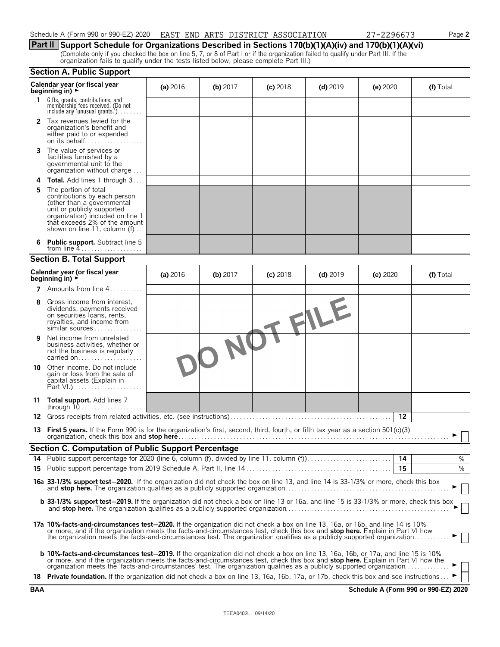| Schedule A (Form 990 or 990-EZ) 2020 | EAST END ARTS DISTRICT ASSOCIATION | $-229667$<br>$\overline{\phantom{a}}$ | Page 2 |
|--------------------------------------|------------------------------------|---------------------------------------|--------|
|                                      |                                    |                                       |        |

|  |  |  | ----------                                                                                             |
|--|--|--|--------------------------------------------------------------------------------------------------------|
|  |  |  | Part II Support Schedule for Organizations Described in Sections 170(b)(1)(A)(iv) and 170(b)(1)(A)(vi) |

(Complete only if you checked the box on line 5, 7, or 8 of Part I or if the organization failed to qualify under Part III. If the organization fails to qualify under the tests listed below, please complete Part III.)

### **Section A. Public Support**

|    | Calendar year (or fiscal year<br>beginning in) $\rightarrow$                                                                                                                                                                                                                                                                                                                                            | (a) $2016$ | $(b)$ 2017 | $(c)$ 2018 | $(d)$ 2019 | (e) 2020 | (f) Total |
|----|---------------------------------------------------------------------------------------------------------------------------------------------------------------------------------------------------------------------------------------------------------------------------------------------------------------------------------------------------------------------------------------------------------|------------|------------|------------|------------|----------|-----------|
| 1  | Gifts, grants, contributions, and<br>membership fees received. (Do not<br>include any 'unusual grants.'). $\ldots$                                                                                                                                                                                                                                                                                      |            |            |            |            |          |           |
|    | 2 Tax revenues levied for the<br>organization's benefit and<br>either paid to or expended<br>on its behalf                                                                                                                                                                                                                                                                                              |            |            |            |            |          |           |
|    | <b>3</b> The value of services or<br>facilities furnished by a<br>governmental unit to the<br>organization without charge $\dots$                                                                                                                                                                                                                                                                       |            |            |            |            |          |           |
|    | <b>Total.</b> Add lines 1 through 3                                                                                                                                                                                                                                                                                                                                                                     |            |            |            |            |          |           |
| 5  | The portion of total<br>contributions by each person<br>(other than a governmental<br>unit or publicly supported<br>organization) included on line 1<br>that exceeds 2% of the amount<br>shown on line 11, column $(f)$                                                                                                                                                                                 |            |            |            |            |          |           |
|    | <b>Public support.</b> Subtract line 5<br>from line $4$                                                                                                                                                                                                                                                                                                                                                 |            |            |            |            |          |           |
|    | <b>Section B. Total Support</b>                                                                                                                                                                                                                                                                                                                                                                         |            |            |            |            |          |           |
|    | Calendar year (or fiscal year<br>beginning in) $\rightarrow$                                                                                                                                                                                                                                                                                                                                            | (a) $2016$ | $(b)$ 2017 | $(c)$ 2018 | $(d)$ 2019 | (e) 2020 | (f) Total |
|    | <b>7</b> Amounts from line $4$                                                                                                                                                                                                                                                                                                                                                                          |            |            |            |            |          |           |
| 8  | Gross income from interest.<br>dividends, payments received<br>on securities loans, rents,<br>royalties, and income from<br>similar sources                                                                                                                                                                                                                                                             |            |            |            | TFILE      |          |           |
| 9  | Net income from unrelated<br>business activities, whether or<br>not the business is regularly<br>carried on                                                                                                                                                                                                                                                                                             |            |            |            |            |          |           |
| 10 | Other income. Do not include<br>gain or loss from the sale of<br>capital assets (Explain in                                                                                                                                                                                                                                                                                                             |            |            |            |            |          |           |
|    | 11 <b>Total support.</b> Add lines 7                                                                                                                                                                                                                                                                                                                                                                    |            |            |            |            |          |           |
|    |                                                                                                                                                                                                                                                                                                                                                                                                         |            |            |            |            | 12       |           |
|    | 13 First 5 years. If the Form 990 is for the organization's first, second, third, fourth, or fifth tax year as a section 501(c)(3)                                                                                                                                                                                                                                                                      |            |            |            |            |          |           |
|    | <b>Section C. Computation of Public Support Percentage</b>                                                                                                                                                                                                                                                                                                                                              |            |            |            |            |          |           |
|    |                                                                                                                                                                                                                                                                                                                                                                                                         |            |            |            |            |          | %         |
|    |                                                                                                                                                                                                                                                                                                                                                                                                         |            |            |            |            | 15       | %         |
|    | 16a 33-1/3% support test-2020. If the organization did not check the box on line 13, and line 14 is 33-1/3% or more, check this box                                                                                                                                                                                                                                                                     |            |            |            |            |          |           |
|    | b 33-1/3% support test-2019. If the organization did not check a box on line 13 or 16a, and line 15 is 33-1/3% or more, check this box                                                                                                                                                                                                                                                                  |            |            |            |            |          |           |
|    | 17a 10%-facts-and-circumstances test-2020. If the organization did not check a box on line 13, 16a, or 16b, and line 14 is 10%<br>or more, and if the organization meets the facts-and-circumstances test, check this box and stop here. Explain in Part VI how<br>the organization meets the facts-and-circumstances test. The organization qualifies as a publicly supported organization             |            |            |            |            |          |           |
|    | <b>b 10%-facts-and-circumstances test-2019.</b> If the organization did not check a box on line 13, 16a, 16b, or 17a, and line 15 is 10%<br>or more, and if the organization meets the facts-and-circumstances test, check this box and stop here. Explain in Part VI how the<br>organization meets the 'facts-and-circumstances' test. The organization qualifies as a publicly supported organization |            |            |            |            |          |           |
|    | 18 Private foundation. If the organization did not check a box on line 13, 16a, 16b, 17a, or 17b, check this box and see instructions                                                                                                                                                                                                                                                                   |            |            |            |            |          |           |

**BAA Schedule A (Form 990 or 990-EZ) 2020**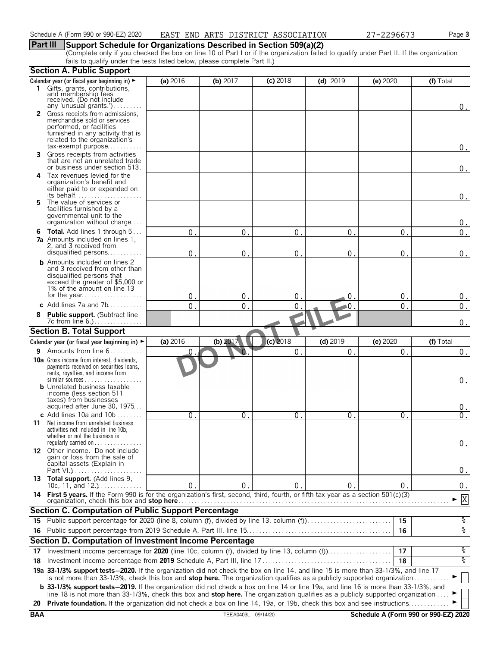## **Part III Support Schedule for Organizations Described in Section 509(a)(2)**

(Complete only if you checked the box on line 10 of Part I or if the organization failed to qualify under Part II. If the organization fails to qualify under the tests listed below, please complete Part II.)

|            | <b>Section A. Public Support</b>                                                                                                                                                                                                                                   |              |                    |               |                |                  |                                      |
|------------|--------------------------------------------------------------------------------------------------------------------------------------------------------------------------------------------------------------------------------------------------------------------|--------------|--------------------|---------------|----------------|------------------|--------------------------------------|
|            | Calendar year (or fiscal year beginning in) ►                                                                                                                                                                                                                      | (a) 2016     | (b) $2017$         | (c) 2018      | $(d)$ 2019     | (e) 2020         | (f) Total                            |
|            | 1 Gifts, grants, contributions,<br>and membership fees<br>received. (Do not include<br>any 'unusual grants.')                                                                                                                                                      |              |                    |               |                |                  |                                      |
|            | 2 Gross receipts from admissions,                                                                                                                                                                                                                                  |              |                    |               |                |                  | 0.                                   |
|            | merchandise sold or services                                                                                                                                                                                                                                       |              |                    |               |                |                  |                                      |
|            | performed, or facilities<br>furnished in any activity that is                                                                                                                                                                                                      |              |                    |               |                |                  |                                      |
|            | related to the organization's                                                                                                                                                                                                                                      |              |                    |               |                |                  |                                      |
|            | $tax\text{-}exempt$ purpose                                                                                                                                                                                                                                        |              |                    |               |                |                  | 0.                                   |
| 3          | Gross receipts from activities<br>that are not an unrelated trade<br>or business under section 513.                                                                                                                                                                |              |                    |               |                |                  | $0$ .                                |
| 4          | Tax revenues levied for the                                                                                                                                                                                                                                        |              |                    |               |                |                  |                                      |
|            | organization's benefit and<br>either paid to or expended on                                                                                                                                                                                                        |              |                    |               |                |                  |                                      |
|            |                                                                                                                                                                                                                                                                    |              |                    |               |                |                  | 0.                                   |
| 5          | The value of services or                                                                                                                                                                                                                                           |              |                    |               |                |                  |                                      |
|            | facilities furnished by a<br>governmental unit to the                                                                                                                                                                                                              |              |                    |               |                |                  |                                      |
|            | organization without charge                                                                                                                                                                                                                                        |              |                    |               |                |                  | 0.                                   |
|            | <b>6 Total.</b> Add lines 1 through 5                                                                                                                                                                                                                              | $\Omega$     | 0                  | $\mathbf{0}$  | 0              | $0$ .            | 0.                                   |
|            | <b>7a</b> Amounts included on lines 1,                                                                                                                                                                                                                             |              |                    |               |                |                  |                                      |
|            | 2, and 3 received from                                                                                                                                                                                                                                             |              |                    |               |                |                  |                                      |
|            | disqualified persons<br><b>b</b> Amounts included on lines 2                                                                                                                                                                                                       | $\Omega$     | $\pmb{0}$          | $\mathbf{0}$  | $\overline{0}$ | $\Omega$         | 0.                                   |
|            | and 3 received from other than                                                                                                                                                                                                                                     |              |                    |               |                |                  |                                      |
|            | disqualified persons that                                                                                                                                                                                                                                          |              |                    |               |                |                  |                                      |
|            | exceed the greater of \$5,000 or<br>1% of the amount on line 13                                                                                                                                                                                                    |              |                    |               |                |                  |                                      |
|            |                                                                                                                                                                                                                                                                    | $\mathbf{0}$ | $\mathbf 0$        | $0$ .         | $\mathbf 0$    | 0.               | 0.                                   |
|            | c Add lines $7a$ and $7b$                                                                                                                                                                                                                                          | $\Omega$     | 0                  | 0             | 0              | $\mathbf 0$ .    | 0.                                   |
|            | Public support. (Subtract line                                                                                                                                                                                                                                     |              |                    |               |                |                  |                                      |
|            |                                                                                                                                                                                                                                                                    |              |                    |               |                |                  | 0.                                   |
|            | <b>Section B. Total Support</b>                                                                                                                                                                                                                                    |              |                    |               |                |                  |                                      |
|            | Calendar year (or fiscal year beginning in) ►                                                                                                                                                                                                                      | (a) 2016     | (b) $2017$         | $(c)$ 2018    | $(d)$ 2019     | (e) 2020         | (f) Total                            |
| 9          | Amounts from line 6                                                                                                                                                                                                                                                | 0            | U,                 | 0.            | 0.             | $\overline{0}$ . | $\boldsymbol{0}$ .                   |
|            | <b>10a</b> Gross income from interest, dividends,<br>payments received on securities loans,<br>rents, royalties, and income from<br>$similar$ sources                                                                                                              |              |                    |               |                |                  |                                      |
|            | <b>b</b> Unrelated business taxable                                                                                                                                                                                                                                |              |                    |               |                |                  | 0.                                   |
|            | income (less section 511                                                                                                                                                                                                                                           |              |                    |               |                |                  |                                      |
|            | taxes) from businesses<br>acquired after June 30, 1975                                                                                                                                                                                                             |              |                    |               |                |                  |                                      |
|            | c Add lines $10a$ and $10b$                                                                                                                                                                                                                                        | 0            | $\mathbf{0}$       | $\Omega$ .    | 0 <sub>1</sub> | 0.               | $0$ .                                |
|            | <b>11</b> Net income from unrelated business                                                                                                                                                                                                                       |              |                    |               |                |                  |                                      |
|            | activities not included in line 10b,                                                                                                                                                                                                                               |              |                    |               |                |                  |                                      |
|            | whether or not the business is<br>regularly carried on $\dots\dots\dots$                                                                                                                                                                                           |              |                    |               |                |                  | 0.                                   |
|            | 12 Other income. Do not include                                                                                                                                                                                                                                    |              |                    |               |                |                  |                                      |
|            | gain or loss from the sale of                                                                                                                                                                                                                                      |              |                    |               |                |                  |                                      |
|            | capital assets (Explain in                                                                                                                                                                                                                                         |              |                    |               |                |                  | 0.                                   |
|            | 13 Total support. (Add lines 9,                                                                                                                                                                                                                                    |              |                    |               |                |                  |                                      |
|            | 10c, 11, and $12.$ )                                                                                                                                                                                                                                               | 0.           | 0                  | $\mathbf 0$ . | $\mathbf{0}$   | 0.               | 0.                                   |
|            | 14 First 5 years. If the Form 990 is for the organization's first, second, third, fourth, or fifth tax year as a section 501(c)(3)<br>organization, check this box and stop here.                                                                                  |              |                    |               |                |                  | X                                    |
|            | Section C. Computation of Public Support Percentage                                                                                                                                                                                                                |              |                    |               |                |                  |                                      |
| 15         | Public support percentage for 2020 (line 8, column (f), divided by line 13, column (f)                                                                                                                                                                             |              |                    |               |                | 15               | န့                                   |
|            |                                                                                                                                                                                                                                                                    |              |                    |               |                | 16               | ०७                                   |
|            | <b>Section D. Computation of Investment Income Percentage</b>                                                                                                                                                                                                      |              |                    |               |                |                  |                                      |
| 17         |                                                                                                                                                                                                                                                                    |              |                    |               |                | 17               | %                                    |
| 18         |                                                                                                                                                                                                                                                                    |              |                    |               |                | 18               | ४                                    |
|            | 19a 33-1/3% support tests-2020. If the organization did not check the box on line 14, and line 15 is more than 33-1/3%, and line 17                                                                                                                                |              |                    |               |                |                  |                                      |
|            | is not more than 33-1/3%, check this box and stop here. The organization qualifies as a publicly supported organization                                                                                                                                            |              |                    |               |                |                  |                                      |
|            | <b>b</b> 33-1/3% support tests-2019. If the organization did not check a box on line 14 or line 19a, and line 16 is more than 33-1/3%, and                                                                                                                         |              |                    |               |                |                  |                                      |
| 20         | line 18 is not more than 33-1/3%, check this box and stop here. The organization qualifies as a publicly supported organization<br><b>Private foundation.</b> If the organization did not check a box on line 14, 19a, or 19b, check this box and see instructions |              |                    |               |                |                  |                                      |
| <b>BAA</b> |                                                                                                                                                                                                                                                                    |              | TEEA0403L 09/14/20 |               |                |                  | Schedule A (Form 990 or 990-EZ) 2020 |
|            |                                                                                                                                                                                                                                                                    |              |                    |               |                |                  |                                      |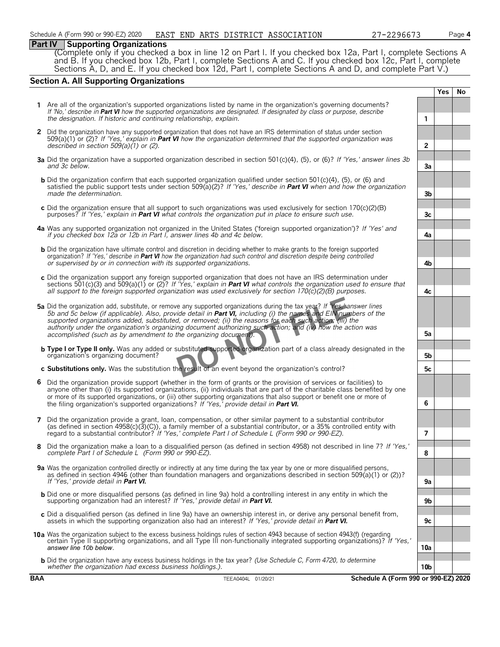#### **Part IV Supporting Organizations**

(Complete only if you checked a box in line 12 on Part I. If you checked box 12a, Part I, complete Sections A and B. If you checked box 12b, Part I, complete Sections A and C. If you checked box 12c, Part I, complete Sections A, D, and E. If you checked box 12d, Part I, complete Sections A and D, and complete Part V.)

### **Section A. All Supporting Organizations**

|   |                                                                                                                                                                                                                                                                                                                                                                                                                                                                                                                                                      |                 | Yes | No |
|---|------------------------------------------------------------------------------------------------------------------------------------------------------------------------------------------------------------------------------------------------------------------------------------------------------------------------------------------------------------------------------------------------------------------------------------------------------------------------------------------------------------------------------------------------------|-----------------|-----|----|
|   | 1 Are all of the organization's supported organizations listed by name in the organization's governing documents?<br>If 'No,' describe in Part VI how the supported organizations are designated. If designated by class or purpose, describe<br>the designation. If historic and continuing relationship, explain.                                                                                                                                                                                                                                  | 1               |     |    |
|   | 2 Did the organization have any supported organization that does not have an IRS determination of status under section<br>509(a)(1) or (2)? If 'Yes,' explain in <b>Part VI</b> how the organization determined that the supported organization was<br>described in section $509(a)(1)$ or (2).                                                                                                                                                                                                                                                      | $\overline{2}$  |     |    |
|   | 3a Did the organization have a supported organization described in section 501(c)(4), (5), or (6)? If 'Yes,' answer lines 3b<br>and 3c below.                                                                                                                                                                                                                                                                                                                                                                                                        | Зa              |     |    |
|   | <b>b</b> Did the organization confirm that each supported organization qualified under section 501(c)(4), (5), or (6) and<br>satisfied the public support tests under section 509(a)(2)? If 'Yes,' describe in <b>Part VI</b> when and how the organization<br>made the determination.                                                                                                                                                                                                                                                               | 3 <sub>b</sub>  |     |    |
|   | c Did the organization ensure that all support to such organizations was used exclusively for section $170(c)(2)(B)$<br>purposes? If 'Yes,' explain in <b>Part VI</b> what controls the organization put in place to ensure such use.                                                                                                                                                                                                                                                                                                                | 3c              |     |    |
|   | 4a Was any supported organization not organized in the United States ('foreign supported organization')? If 'Yes' and<br>if you checked box 12a or 12b in Part I, answer lines 4b and 4c below.                                                                                                                                                                                                                                                                                                                                                      | 4a              |     |    |
|   | <b>b</b> Did the organization have ultimate control and discretion in deciding whether to make grants to the foreign supported<br>organization? If 'Yes,' describe in Part VI how the organization had such control and discretion despite being controlled<br>or supervised by or in connection with its supported organizations.                                                                                                                                                                                                                   | 4b              |     |    |
|   | c Did the organization support any foreign supported organization that does not have an IRS determination under<br>sections 501(c)(3) and 509(a)(1) or (2)? If 'Yes,' explain in <b>Part VI</b> what controls the organization used to ensure that<br>all support to the foreign supported organization was used exclusively for section $170(c)(2)(B)$ purposes.                                                                                                                                                                                    | 4с              |     |    |
|   | 5a Did the organization add, substitute, or remove any supported organizations during the tax year? If "Yes," answer lines<br>5b and 5c below (if applicable). Also, provide detail in <b>Part VI</b> , including (i) the names and EIN numbers of the<br>supported organizations added, substituted, or removed; (ii) the reasons for each such action; (iii) the<br>authority under the organization's organizing document authorizing such action; and (iv) how the action was<br>accomplished (such as by amendment to the organizing document). | 5a              |     |    |
|   | <b>b Type I or Type II only.</b> Was any added or substituted supported organization part of a class already designated in the<br>organization's organizing document?                                                                                                                                                                                                                                                                                                                                                                                | 5b              |     |    |
|   | c Substitutions only. Was the substitution the result of an event beyond the organization's control?                                                                                                                                                                                                                                                                                                                                                                                                                                                 | 5c              |     |    |
| 6 | Did the organization provide support (whether in the form of grants or the provision of services or facilities) to<br>anyone other than (i) its supported organizations, (ii) individuals that are part of the charitable class benefited by one<br>or more of its supported organizations, or (iii) other supporting organizations that also support or benefit one or more of<br>the filing organization's supported organizations? If 'Yes,' provide detail in Part VI.                                                                           | 6               |     |    |
|   | 7 Did the organization provide a grant, loan, compensation, or other similar payment to a substantial contributor<br>(as defined in section 4958(c)(3)(C)), a family member of a substantial contributor, or a 35% controlled entity with<br>regard to a substantial contributor? If 'Yes,' complete Part I of Schedule L (Form 990 or 990-EZ).                                                                                                                                                                                                      | $\overline{7}$  |     |    |
|   | Did the organization make a loan to a disqualified person (as defined in section 4958) not described in line 7? If 'Yes,'<br>complete Part I of Schedule L (Form 990 or 990-EZ).                                                                                                                                                                                                                                                                                                                                                                     | 8               |     |    |
|   | 9a Was the organization controlled directly or indirectly at any time during the tax year by one or more disqualified persons,<br>as defined in section 4946 (other than foundation managers and organizations described in section 509(a)(1) or (2))?<br>If 'Yes,' provide detail in Part VI.                                                                                                                                                                                                                                                       | 9a              |     |    |
|   | <b>b</b> Did one or more disqualified persons (as defined in line 9a) hold a controlling interest in any entity in which the<br>supporting organization had an interest? If 'Yes,' provide detail in Part VI.                                                                                                                                                                                                                                                                                                                                        | 9b              |     |    |
|   | c Did a disqualified person (as defined in line 9a) have an ownership interest in, or derive any personal benefit from,<br>assets in which the supporting organization also had an interest? If 'Yes,' provide detail in Part VI.                                                                                                                                                                                                                                                                                                                    | 9c              |     |    |
|   | 10a Was the organization subject to the excess business holdings rules of section 4943 because of section 4943(f) (regarding<br>certain Type II supporting organizations, and all Type III non-functionally integrated supporting organizations)? If 'Yes,'<br>answer line 10b below.                                                                                                                                                                                                                                                                |                 |     |    |
|   | <b>b</b> Did the organization have any excess business holdings in the tax year? (Use Schedule C, Form 4720, to determine                                                                                                                                                                                                                                                                                                                                                                                                                            | 10a             |     |    |
|   | whether the organization had excess business holdings.).                                                                                                                                                                                                                                                                                                                                                                                                                                                                                             | 10 <sub>b</sub> |     |    |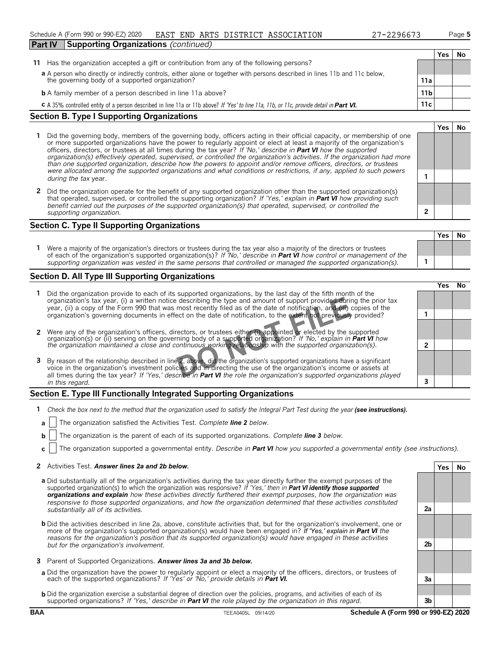#### Schedule A (Form 990 or 990-EZ) 2020 Page **5** EAST END ARTS DISTRICT ASSOCIATION 27-2296673

| 27-2296673 |  |
|------------|--|
|------------|--|

**Yes No**

| <b>Part IV</b> | <b>Supporting Organizations (continued)</b>                                                                                                                                 |                 |     |    |
|----------------|-----------------------------------------------------------------------------------------------------------------------------------------------------------------------------|-----------------|-----|----|
|                |                                                                                                                                                                             |                 | Yes | No |
| 11             | Has the organization accepted a gift or contribution from any of the following persons?                                                                                     |                 |     |    |
|                |                                                                                                                                                                             |                 |     |    |
|                | a A person who directly or indirectly controls, either alone or together with persons described in lines 11b and 11c below, the governing body of a supported organization? | 11a             |     |    |
|                | <b>b</b> A family member of a person described in line 11a above?                                                                                                           | 11 <sub>b</sub> |     |    |
|                | C A 35% controlled entity of a person described in line 11a or 11b above? If 'Yes' to line 11a, 11b, or 11c, provide detail in Part VI.                                     | $11c_1$         |     |    |
|                |                                                                                                                                                                             |                 |     |    |

#### **Section B. Type I Supporting Organizations**

- **1** Did the governing body, members of the governing body, officers acting in their official capacity, or membership of one or more supported organizations have the power to regularly appoint or elect at least a majority of the organization's officers, directors, or trustees at all times during the tax year? *If 'No,' describe in Part VI how the supported organization(s) effectively operated, supervised, or controlled the organization's activities. If the organization had more than one supported organization, describe how the powers to appoint and/or remove officers, directors, or trustees were allocated among the supported organizations and what conditions or restrictions, if any, applied to such powers* **1** *during the tax* year.
- **2** Did the organization operate for the benefit of any supported organization other than the supported organization(s) that operated, supervised, or controlled the supporting organization? *If 'Yes,' explain in Part VI how providing such benefit carried out the purposes of the supported organization(s) that operated, supervised, or controlled the supporting organization.* **2**

#### **Section C. Type II Supporting Organizations**

**Yes No 1** Were a majority of the organization's directors or trustees during the tax year also a majority of the directors or trustees of each of the organization's supported organization(s)? *If 'No,' describe in Part VI how control or management of the supporting organization was vested in the same persons that controlled or managed the supported organization(s).* **1**

#### **Section D. All Type III Supporting Organizations**

|                                                                                                                                                                                                                                                                                                                                                                                       | ∕es |  |
|---------------------------------------------------------------------------------------------------------------------------------------------------------------------------------------------------------------------------------------------------------------------------------------------------------------------------------------------------------------------------------------|-----|--|
| Did the organization provide to each of its supported organizations, by the last day of the fifth month of the<br>organization's tax year, (i) a written notice describing the type and amount of support provided during the prior tax<br>year, (ii) a copy of the Form 990 that was most recently filed as of the date of notification, and (iii) copies of the                     |     |  |
| organization's governing documents in effect on the date of notification, to the extent not previously provided?                                                                                                                                                                                                                                                                      |     |  |
|                                                                                                                                                                                                                                                                                                                                                                                       |     |  |
| 2 Were any of the organization's officers, directors, or trustees either (i) appointed or elected by the supported organization(s) or (ii) serving on the governing body of a supported organization? If 'No,' explain in <b>Par</b>                                                                                                                                                  |     |  |
| 3 By reason of the relationship described in line 2, above, did the organization's supported organizations have a significant<br>voice in the organization's investment policies and in directing the use of the organization's income or assets at<br>all times during the tax year? If 'Yes,' describe in <b>Part VI</b> the role the organization's supported organizations played |     |  |
| in this regard.                                                                                                                                                                                                                                                                                                                                                                       |     |  |

#### **Section E. Type III Functionally Integrated Supporting Organizations**

- **1** *Check the box next to the method that the organization used to satisfy the Integral Part Test during the year (see instructions).*
- **a** The organization satisfied the Activities Test. *Complete line 2 below.*
- **b** The organization is the parent of each of its supported organizations. *Complete line 3 below.*
- **c** The organization supported a governmental entity. *Describe in Part VI how you supported a governmental entity (see instructions).*

#### **2** Activities Test. *Answer lines 2a and 2b below.* **Yes No**

- **a** Did substantially all of the organization's activities during the tax year directly further the exempt purposes of the supported organization(s) to which the organization was responsive? *If 'Yes,' then in Part VI identify those supported organizations and explain how these activities directly furthered their exempt purposes, how the organization was responsive to those supported organizations, and how the organization determined that these activities constituted substantially all of its activities.* **2a**
- **b** Did the activities described in line 2a, above, constitute activities that, but for the organization's involvement, one or more of the organization's supported organization(s) would have been engaged in? *If 'Yes,' explain in Part VI the reasons for the organization's position that its supported organization(s) would have engaged in these activities but for the organization's involvement.* **2b**
- **3** Parent of Supported Organizations. *Answer lines 3a and 3b below.*
- **a** Did the organization have the power to regularly appoint or elect a majority of the officers, directors, or trustees of each of the supported organizations? *If 'Yes' or 'No,' provide details in Part VI.* **3a**
- **b** Did the organization exercise a substantial degree of direction over the policies, programs, and activities of each of its supported organizations? *If 'Yes,' describe in Part VI the role played by the organization in this regard.* **3b**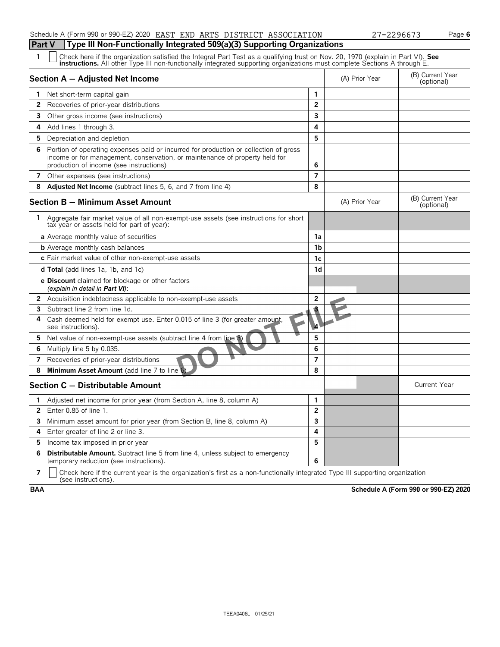#### Schedule A (Form 990 or 990-EZ) 2020 EAST END ARTS DISTRICT ASSOCIATION 27-2296673 Page **6**

# **Part V Type III Non-Functionally Integrated 509(a)(3) Supporting Organizations**<br>1 **Check here if the organization setisfied the Integral Part Test as a qualifying trust on Nov. 20**

| 1  | Check here if the organization satisfied the Integral Part Test as a qualifying trust on Nov. 20, 1970 (explain in Part VI). See<br><b>instructions.</b> All other Type III non-functionally integrated supporting organizations must complete Sections A through E. |                |                                |                                |
|----|----------------------------------------------------------------------------------------------------------------------------------------------------------------------------------------------------------------------------------------------------------------------|----------------|--------------------------------|--------------------------------|
|    | Section A - Adjusted Net Income                                                                                                                                                                                                                                      | (A) Prior Year | (B) Current Year<br>(optional) |                                |
| 1. | Net short-term capital gain                                                                                                                                                                                                                                          | 1              |                                |                                |
| 2  | Recoveries of prior-year distributions                                                                                                                                                                                                                               | $\mathbf{2}$   |                                |                                |
|    | <b>3</b> Other gross income (see instructions)                                                                                                                                                                                                                       | 3              |                                |                                |
| 4  | Add lines 1 through 3.                                                                                                                                                                                                                                               | 4              |                                |                                |
|    | 5 Depreciation and depletion                                                                                                                                                                                                                                         | 5              |                                |                                |
| 6  | Portion of operating expenses paid or incurred for production or collection of gross<br>income or for management, conservation, or maintenance of property held for<br>production of income (see instructions)                                                       | 6              |                                |                                |
|    | 7 Other expenses (see instructions)                                                                                                                                                                                                                                  | 7              |                                |                                |
| 8  | <b>Adjusted Net Income</b> (subtract lines 5, 6, and 7 from line 4)                                                                                                                                                                                                  | 8              |                                |                                |
|    | <b>Section B - Minimum Asset Amount</b>                                                                                                                                                                                                                              |                | (A) Prior Year                 | (B) Current Year<br>(optional) |
| 1. | Aggregate fair market value of all non-exempt-use assets (see instructions for short<br>tax year or assets held for part of year):                                                                                                                                   |                |                                |                                |
|    | a Average monthly value of securities                                                                                                                                                                                                                                | 1a             |                                |                                |
|    | <b>b</b> Average monthly cash balances                                                                                                                                                                                                                               | 1 <sub>b</sub> |                                |                                |
|    | c Fair market value of other non-exempt-use assets                                                                                                                                                                                                                   | 1 <sub>c</sub> |                                |                                |
|    | <b>d Total</b> (add lines 1a, 1b, and 1c)                                                                                                                                                                                                                            | 1 <sub>d</sub> |                                |                                |
|    | <b>e Discount</b> claimed for blockage or other factors<br>(explain in detail in <b>Part VI</b> ):                                                                                                                                                                   |                |                                |                                |
| 2  | Acquisition indebtedness applicable to non-exempt-use assets                                                                                                                                                                                                         | 2              |                                |                                |
| 3  | Subtract line 2 from line 1d                                                                                                                                                                                                                                         | ś              |                                |                                |
| 4  | Cash deemed held for exempt use. Enter 0.015 of line 3 (for greater amount,<br>see instructions).                                                                                                                                                                    | Ł              |                                |                                |
| 5. | Net value of non-exempt-use assets (subtract line 4 from line 3)                                                                                                                                                                                                     | 5              |                                |                                |
| 6  | Multiply line 5 by 0.035.                                                                                                                                                                                                                                            | 6              |                                |                                |
| 7  | Recoveries of prior-year distributions                                                                                                                                                                                                                               | $\overline{7}$ |                                |                                |
| 8  | Minimum Asset Amount (add line 7 to line 6)                                                                                                                                                                                                                          | 8              |                                |                                |
|    | Section C - Distributable Amount                                                                                                                                                                                                                                     |                |                                | <b>Current Year</b>            |
| 1. | Adjusted net income for prior year (from Section A, line 8, column A)                                                                                                                                                                                                | 1              |                                |                                |
| 2  | Enter 0.85 of line 1.                                                                                                                                                                                                                                                | $\overline{2}$ |                                |                                |
| 3  | Minimum asset amount for prior year (from Section B, line 8, column A)                                                                                                                                                                                               | 3              |                                |                                |
| 4  | Enter greater of line 2 or line 3.                                                                                                                                                                                                                                   | 4              |                                |                                |
| 5  | Income tax imposed in prior year                                                                                                                                                                                                                                     | 5              |                                |                                |
| 6  | <b>Distributable Amount.</b> Subtract line 5 from line 4, unless subject to emergency<br>temporary reduction (see instructions).                                                                                                                                     | 6              |                                |                                |

**7**  $\mid$  Check here if the current year is the organization's first as a non-functionally integrated Type III supporting organization (see instructions).

**BAA Schedule A (Form 990 or 990-EZ) 2020**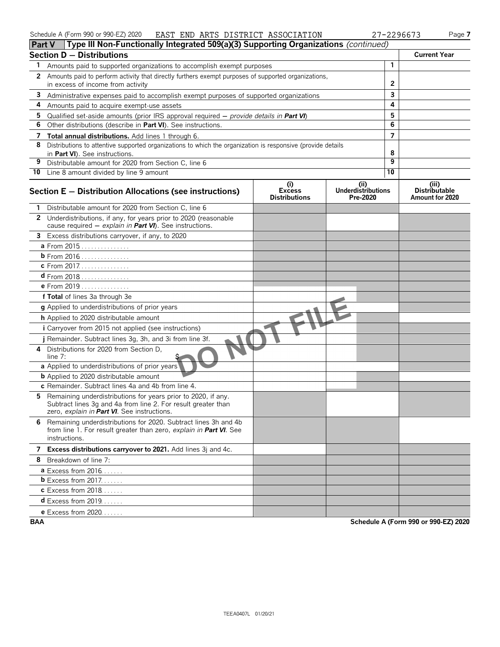| Schedule A (Form 990 or 990-EZ) 2020 |  |  |  | EAST END ARTS DISTRICT ASSOCIATION | 27-2296673 | $a$ <sub>aqe</sub> |
|--------------------------------------|--|--|--|------------------------------------|------------|--------------------|
|--------------------------------------|--|--|--|------------------------------------|------------|--------------------|

|    | Type III Non-Functionally Integrated 509(a)(3) Supporting Organizations (continued)<br><b>Part V</b>                                                                          |                                              |                                               |                |                                                  |
|----|-------------------------------------------------------------------------------------------------------------------------------------------------------------------------------|----------------------------------------------|-----------------------------------------------|----------------|--------------------------------------------------|
|    | Section D - Distributions                                                                                                                                                     |                                              |                                               |                | <b>Current Year</b>                              |
| 1  | Amounts paid to supported organizations to accomplish exempt purposes                                                                                                         |                                              |                                               | 1              |                                                  |
| 2  | Amounts paid to perform activity that directly furthers exempt purposes of supported organizations,<br>in excess of income from activity                                      |                                              |                                               | 2              |                                                  |
| 3  | Administrative expenses paid to accomplish exempt purposes of supported organizations                                                                                         |                                              |                                               | 3              |                                                  |
| 4  | Amounts paid to acquire exempt-use assets                                                                                                                                     |                                              |                                               | 4              |                                                  |
| 5  | Qualified set-aside amounts (prior IRS approval required $-$ provide details in <b>Part VI</b> )                                                                              |                                              |                                               | 5              |                                                  |
| 6  | Other distributions (describe in Part VI). See instructions.                                                                                                                  |                                              |                                               | 6              |                                                  |
| 7  | Total annual distributions. Add lines 1 through 6.                                                                                                                            |                                              |                                               | $\overline{7}$ |                                                  |
| 8  | Distributions to attentive supported organizations to which the organization is responsive (provide details                                                                   |                                              |                                               |                |                                                  |
|    | in Part VI). See instructions.                                                                                                                                                |                                              |                                               | 8              |                                                  |
| 9  | Distributable amount for 2020 from Section C, line 6                                                                                                                          |                                              |                                               | 9              |                                                  |
|    | 10 Line 8 amount divided by line 9 amount                                                                                                                                     |                                              |                                               | 10             |                                                  |
|    | Section E - Distribution Allocations (see instructions)                                                                                                                       | (i)<br><b>Excess</b><br><b>Distributions</b> | (ii)<br><b>Underdistributions</b><br>Pre-2020 |                | (iii)<br><b>Distributable</b><br>Amount for 2020 |
|    | Distributable amount for 2020 from Section C, line 6                                                                                                                          |                                              |                                               |                |                                                  |
|    | 2 Underdistributions, if any, for years prior to 2020 (reasonable<br>cause required - explain in Part VI). See instructions.                                                  |                                              |                                               |                |                                                  |
|    | 3 Excess distributions carryover, if any, to 2020                                                                                                                             |                                              |                                               |                |                                                  |
|    | a From 2015                                                                                                                                                                   |                                              |                                               |                |                                                  |
|    | b From 2016                                                                                                                                                                   |                                              |                                               |                |                                                  |
|    | c From 2017.                                                                                                                                                                  |                                              |                                               |                |                                                  |
|    | $d$ From 2018                                                                                                                                                                 |                                              |                                               |                |                                                  |
|    | e From 2019                                                                                                                                                                   |                                              |                                               |                |                                                  |
|    | f Total of lines 3a through 3e                                                                                                                                                |                                              |                                               |                |                                                  |
|    | g Applied to underdistributions of prior years                                                                                                                                |                                              |                                               |                |                                                  |
|    | h Applied to 2020 distributable amount                                                                                                                                        |                                              |                                               |                |                                                  |
|    | i Carryover from 2015 not applied (see instructions)                                                                                                                          |                                              |                                               |                |                                                  |
|    | j Remainder. Subtract lines 3g, 3h, and 3i from line 3f.                                                                                                                      |                                              |                                               |                |                                                  |
| 4  | Distributions for 2020 from Section D,<br>line 7:                                                                                                                             |                                              |                                               |                |                                                  |
|    | a Applied to underdistributions of prior years'                                                                                                                               |                                              |                                               |                |                                                  |
|    | <b>b</b> Applied to 2020 distributable amount                                                                                                                                 |                                              |                                               |                |                                                  |
|    | c Remainder. Subtract lines 4a and 4b from line 4.                                                                                                                            |                                              |                                               |                |                                                  |
| 5. | Remaining underdistributions for years prior to 2020, if any.<br>Subtract lines 3g and 4a from line 2. For result greater than<br>zero, explain in Part VI. See instructions. |                                              |                                               |                |                                                  |
|    | 6 Remaining underdistributions for 2020. Subtract lines 3h and 4b<br>from line 1. For result greater than zero, explain in Part VI. See<br>instructions.                      |                                              |                                               |                |                                                  |
|    | 7 Excess distributions carryover to 2021. Add lines 3j and 4c.                                                                                                                |                                              |                                               |                |                                                  |
|    | 8 Breakdown of line 7:                                                                                                                                                        |                                              |                                               |                |                                                  |
|    | <b>a</b> Excess from $2016$                                                                                                                                                   |                                              |                                               |                |                                                  |
|    | <b>b</b> Excess from 2017.                                                                                                                                                    |                                              |                                               |                |                                                  |
|    | <b>c</b> Excess from 2018                                                                                                                                                     |                                              |                                               |                |                                                  |
|    | $d$ Excess from 2019.                                                                                                                                                         |                                              |                                               |                |                                                  |
|    | <b>e</b> Excess from 2020.                                                                                                                                                    |                                              |                                               |                |                                                  |

**BAA Schedule A (Form 990 or 990-EZ) 2020**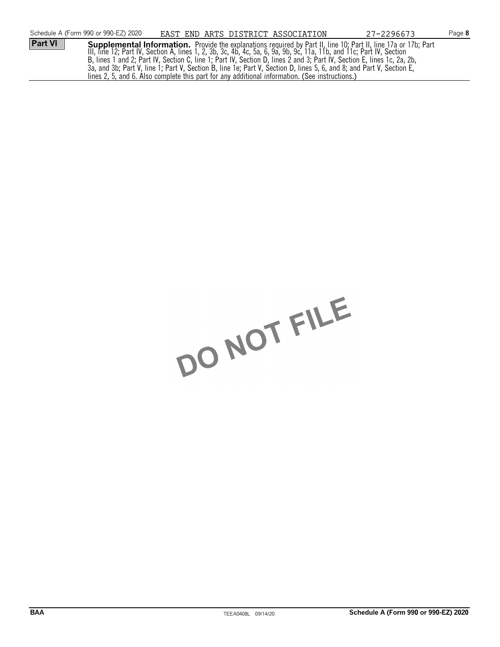|                | Schedule A (Form 990 or 990-EZ) 2020                                                                                   |  |  |  | EAST END ARTS DISTRICT ASSOCIATION | 27-2296673                                                                                                                                                                                                                             | Page 8 |
|----------------|------------------------------------------------------------------------------------------------------------------------|--|--|--|------------------------------------|----------------------------------------------------------------------------------------------------------------------------------------------------------------------------------------------------------------------------------------|--------|
| <b>Part VI</b> |                                                                                                                        |  |  |  |                                    | <b>Supplemental Information.</b> Provide the explanations required by Part II, line 10; Part II, line 17a or 17b; Part<br>III, line 12; Part IV, Section A, lines 1, 2, 3b, 3c, 4b, 4c, 5a, 6, 9a, 9b, 9c, 11a, 11b, and 11c; Part IV, |        |
|                |                                                                                                                        |  |  |  |                                    |                                                                                                                                                                                                                                        |        |
|                | B, lines 1 and 2; Part IV, Section C, line 1; Part IV, Section D, lines 2 and 3; Part IV, Section E, lines 1c, 2a, 2b, |  |  |  |                                    |                                                                                                                                                                                                                                        |        |
|                | 3a, and 3b; Part V, line 1; Part V, Section B, line 1e; Part V, Section D, lines 5, 6, and 8; and Part V, Section E,   |  |  |  |                                    |                                                                                                                                                                                                                                        |        |
|                | lines 2, 5, and 6. Also complete this part for any additional information. (See instructions.)                         |  |  |  |                                    |                                                                                                                                                                                                                                        |        |

DO NOT FILE